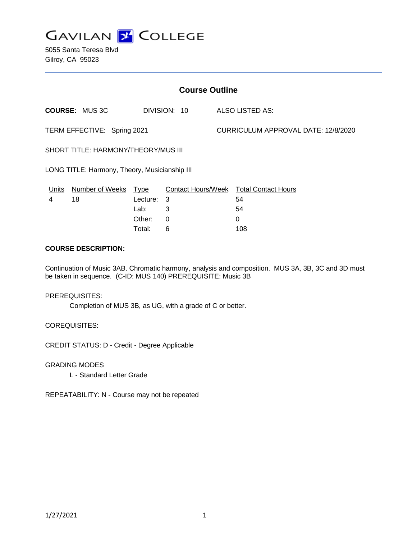

5055 Santa Teresa Blvd Gilroy, CA 95023

| <b>Course Outline</b>                         |                        |             |                           |                                     |                            |
|-----------------------------------------------|------------------------|-------------|---------------------------|-------------------------------------|----------------------------|
|                                               | <b>COURSE: MUS 3C</b>  |             | DIVISION: 10              |                                     | ALSO LISTED AS:            |
| TERM EFFECTIVE: Spring 2021                   |                        |             |                           | CURRICULUM APPROVAL DATE: 12/8/2020 |                            |
| SHORT TITLE: HARMONY/THEORY/MUS III           |                        |             |                           |                                     |                            |
| LONG TITLE: Harmony, Theory, Musicianship III |                        |             |                           |                                     |                            |
| Units                                         | <b>Number of Weeks</b> | <u>Type</u> | <b>Contact Hours/Week</b> |                                     | <b>Total Contact Hours</b> |
| 4                                             | 18                     | Lecture:    | -3                        |                                     | 54                         |
|                                               |                        | Lab:        | 3                         |                                     | 54                         |
|                                               |                        | Other:      | $\Omega$                  |                                     | 0                          |
|                                               |                        | Total:      | 6                         |                                     | 108                        |

### **COURSE DESCRIPTION:**

Continuation of Music 3AB. Chromatic harmony, analysis and composition. MUS 3A, 3B, 3C and 3D must be taken in sequence. (C-ID: MUS 140) PREREQUISITE: Music 3B

#### PREREQUISITES:

Completion of MUS 3B, as UG, with a grade of C or better.

COREQUISITES:

CREDIT STATUS: D - Credit - Degree Applicable

GRADING MODES

L - Standard Letter Grade

REPEATABILITY: N - Course may not be repeated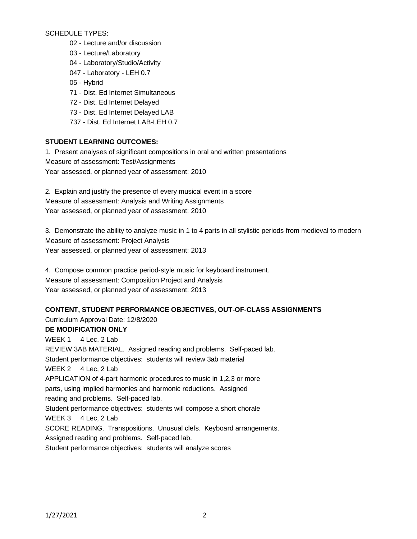SCHEDULE TYPES:

- 02 Lecture and/or discussion
- 03 Lecture/Laboratory
- 04 Laboratory/Studio/Activity
- 047 Laboratory LEH 0.7
- 05 Hybrid
- 71 Dist. Ed Internet Simultaneous
- 72 Dist. Ed Internet Delayed
- 73 Dist. Ed Internet Delayed LAB
- 737 Dist. Ed Internet LAB-LEH 0.7

# **STUDENT LEARNING OUTCOMES:**

1. Present analyses of significant compositions in oral and written presentations Measure of assessment: Test/Assignments Year assessed, or planned year of assessment: 2010

2. Explain and justify the presence of every musical event in a score Measure of assessment: Analysis and Writing Assignments Year assessed, or planned year of assessment: 2010

3. Demonstrate the ability to analyze music in 1 to 4 parts in all stylistic periods from medieval to modern Measure of assessment: Project Analysis Year assessed, or planned year of assessment: 2013

4. Compose common practice period-style music for keyboard instrument. Measure of assessment: Composition Project and Analysis Year assessed, or planned year of assessment: 2013

## **CONTENT, STUDENT PERFORMANCE OBJECTIVES, OUT-OF-CLASS ASSIGNMENTS**

Curriculum Approval Date: 12/8/2020 **DE MODIFICATION ONLY**

WEEK 1 4 Lec, 2 Lab REVIEW 3AB MATERIAL. Assigned reading and problems. Self-paced lab. Student performance objectives: students will review 3ab material WEEK 2 4 Lec, 2 Lab APPLICATION of 4-part harmonic procedures to music in 1,2,3 or more parts, using implied harmonies and harmonic reductions. Assigned reading and problems. Self-paced lab. Student performance objectives: students will compose a short chorale WEEK 3 4 Lec, 2 Lab SCORE READING. Transpositions. Unusual clefs. Keyboard arrangements. Assigned reading and problems. Self-paced lab. Student performance objectives: students will analyze scores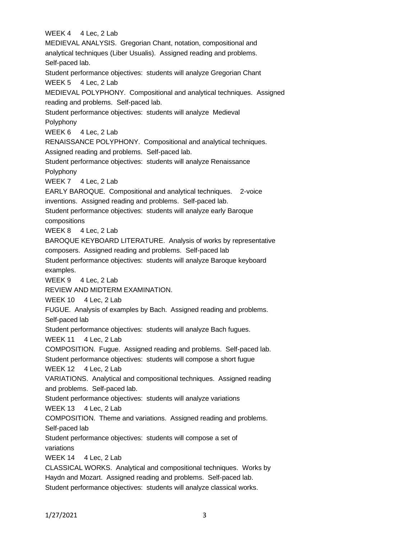WEEK 4 4 Lec, 2 Lab MEDIEVAL ANALYSIS. Gregorian Chant, notation, compositional and analytical techniques (Liber Usualis). Assigned reading and problems. Self-paced lab. Student performance objectives: students will analyze Gregorian Chant WEEK 5 4 Lec, 2 Lab MEDIEVAL POLYPHONY. Compositional and analytical techniques. Assigned reading and problems. Self-paced lab. Student performance objectives: students will analyze Medieval Polyphony WEEK 6 4 Lec, 2 Lab RENAISSANCE POLYPHONY. Compositional and analytical techniques. Assigned reading and problems. Self-paced lab. Student performance objectives: students will analyze Renaissance Polyphony WEEK 7 4 Lec, 2 Lab EARLY BAROQUE. Compositional and analytical techniques. 2-voice inventions. Assigned reading and problems. Self-paced lab. Student performance objectives: students will analyze early Baroque compositions WEEK 8 4 Lec, 2 Lab BAROQUE KEYBOARD LITERATURE. Analysis of works by representative composers. Assigned reading and problems. Self-paced lab Student performance objectives: students will analyze Baroque keyboard examples. WEEK 9 4 Lec, 2 Lab REVIEW AND MIDTERM EXAMINATION. WEEK 10 4 Lec, 2 Lab FUGUE. Analysis of examples by Bach. Assigned reading and problems. Self-paced lab Student performance objectives: students will analyze Bach fugues. WEEK 11 4 Lec, 2 Lab COMPOSITION. Fugue. Assigned reading and problems. Self-paced lab. Student performance objectives: students will compose a short fugue WEEK 12 4 Lec, 2 Lab VARIATIONS. Analytical and compositional techniques. Assigned reading and problems. Self-paced lab. Student performance objectives: students will analyze variations WEEK 13 4 Lec, 2 Lab COMPOSITION. Theme and variations. Assigned reading and problems. Self-paced lab Student performance objectives: students will compose a set of variations WEEK 14 4 Lec, 2 Lab CLASSICAL WORKS. Analytical and compositional techniques. Works by Haydn and Mozart. Assigned reading and problems. Self-paced lab. Student performance objectives: students will analyze classical works.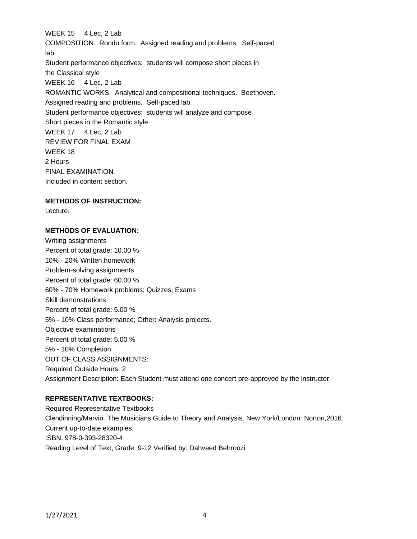WEEK 15 4 Lec, 2 Lab COMPOSITION. Rondo form. Assigned reading and problems. Self-paced lab. Student performance objectives: students will compose short pieces in the Classical style WEEK 16 4 Lec, 2 Lab ROMANTIC WORKS. Analytical and compositional techniques. Beethoven. Assigned reading and problems. Self-paced lab. Student performance objectives: students will analyze and compose Short pieces in the Romantic style WEEK 17 4 Lec, 2 Lab REVIEW FOR FINAL EXAM WEEK 18 2 Hours FINAL EXAMINATION. Included in content section.

### **METHODS OF INSTRUCTION:**

Lecture.

### **METHODS OF EVALUATION:**

Writing assignments Percent of total grade: 10.00 % 10% - 20% Written homework Problem-solving assignments Percent of total grade: 60.00 % 60% - 70% Homework problems; Quizzes; Exams Skill demonstrations Percent of total grade: 5.00 % 5% - 10% Class performance; Other: Analysis projects. Objective examinations Percent of total grade: 5.00 % 5% - 10% Completion OUT OF CLASS ASSIGNMENTS: Required Outside Hours: 2 Assignment Description: Each Student must attend one concert pre-approved by the instructor.

## **REPRESENTATIVE TEXTBOOKS:**

Required Representative Textbooks Clendinning/Marvin. The Musicians Guide to Theory and Analysis. New York/London: Norton,2016. Current up-to-date examples. ISBN: 978-0-393-28320-4 Reading Level of Text, Grade: 9-12 Verified by: Dahveed Behroozi